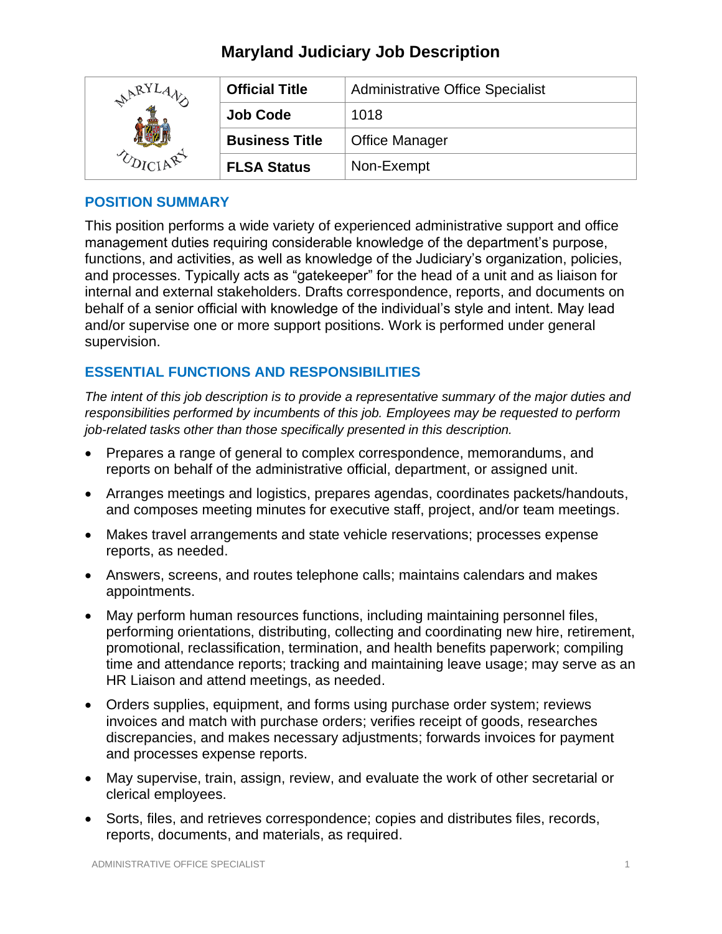| ARYJ | <b>Official Title</b> | <b>Administrative Office Specialist</b> |
|------|-----------------------|-----------------------------------------|
|      | <b>Job Code</b>       | 1018                                    |
|      | <b>Business Title</b> | <b>Office Manager</b>                   |
|      | <b>FLSA Status</b>    | Non-Exempt                              |

### **POSITION SUMMARY**

This position performs a wide variety of experienced administrative support and office management duties requiring considerable knowledge of the department's purpose, functions, and activities, as well as knowledge of the Judiciary's organization, policies, and processes. Typically acts as "gatekeeper" for the head of a unit and as liaison for internal and external stakeholders. Drafts correspondence, reports, and documents on behalf of a senior official with knowledge of the individual's style and intent. May lead and/or supervise one or more support positions. Work is performed under general supervision.

## **ESSENTIAL FUNCTIONS AND RESPONSIBILITIES**

*The intent of this job description is to provide a representative summary of the major duties and responsibilities performed by incumbents of this job. Employees may be requested to perform job-related tasks other than those specifically presented in this description.*

- Prepares a range of general to complex correspondence, memorandums, and reports on behalf of the administrative official, department, or assigned unit.
- Arranges meetings and logistics, prepares agendas, coordinates packets/handouts, and composes meeting minutes for executive staff, project, and/or team meetings.
- Makes travel arrangements and state vehicle reservations; processes expense reports, as needed.
- Answers, screens, and routes telephone calls; maintains calendars and makes appointments.
- May perform human resources functions, including maintaining personnel files, performing orientations, distributing, collecting and coordinating new hire, retirement, promotional, reclassification, termination, and health benefits paperwork; compiling time and attendance reports; tracking and maintaining leave usage; may serve as an HR Liaison and attend meetings, as needed.
- Orders supplies, equipment, and forms using purchase order system; reviews invoices and match with purchase orders; verifies receipt of goods, researches discrepancies, and makes necessary adjustments; forwards invoices for payment and processes expense reports.
- May supervise, train, assign, review, and evaluate the work of other secretarial or clerical employees.
- Sorts, files, and retrieves correspondence; copies and distributes files, records, reports, documents, and materials, as required.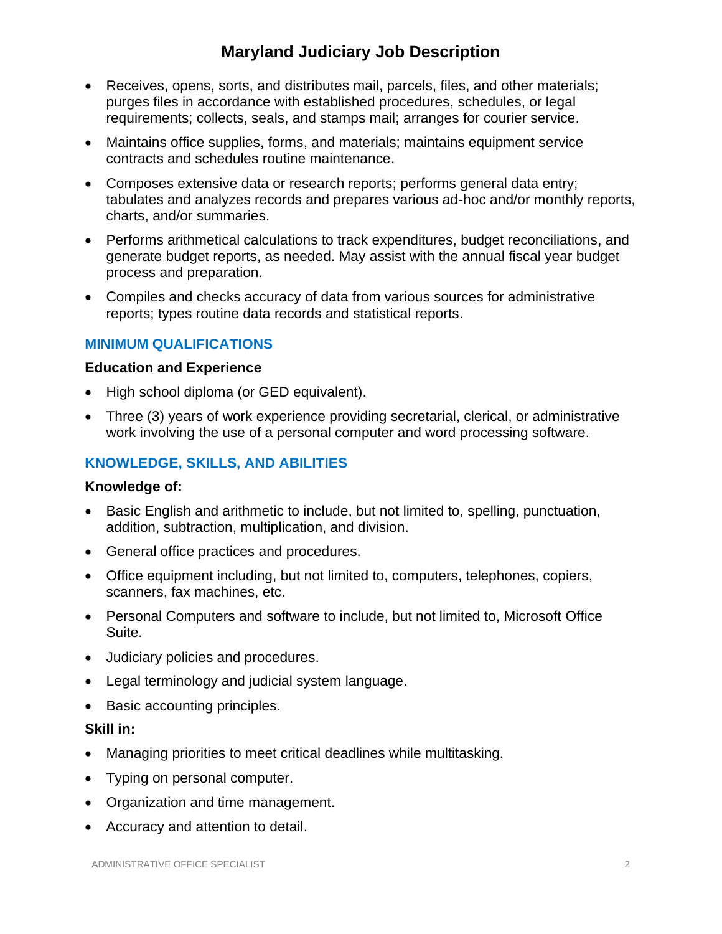- Receives, opens, sorts, and distributes mail, parcels, files, and other materials; purges files in accordance with established procedures, schedules, or legal requirements; collects, seals, and stamps mail; arranges for courier service.
- Maintains office supplies, forms, and materials; maintains equipment service contracts and schedules routine maintenance.
- Composes extensive data or research reports; performs general data entry; tabulates and analyzes records and prepares various ad-hoc and/or monthly reports, charts, and/or summaries.
- Performs arithmetical calculations to track expenditures, budget reconciliations, and generate budget reports, as needed. May assist with the annual fiscal year budget process and preparation.
- Compiles and checks accuracy of data from various sources for administrative reports; types routine data records and statistical reports.

## **MINIMUM QUALIFICATIONS**

#### **Education and Experience**

- High school diploma (or GED equivalent).
- Three (3) years of work experience providing secretarial, clerical, or administrative work involving the use of a personal computer and word processing software.

## **KNOWLEDGE, SKILLS, AND ABILITIES**

#### **Knowledge of:**

- Basic English and arithmetic to include, but not limited to, spelling, punctuation, addition, subtraction, multiplication, and division.
- General office practices and procedures.
- Office equipment including, but not limited to, computers, telephones, copiers, scanners, fax machines, etc.
- Personal Computers and software to include, but not limited to, Microsoft Office Suite.
- Judiciary policies and procedures.
- Legal terminology and judicial system language.
- Basic accounting principles.

#### **Skill in:**

- Managing priorities to meet critical deadlines while multitasking.
- Typing on personal computer.
- Organization and time management.
- Accuracy and attention to detail.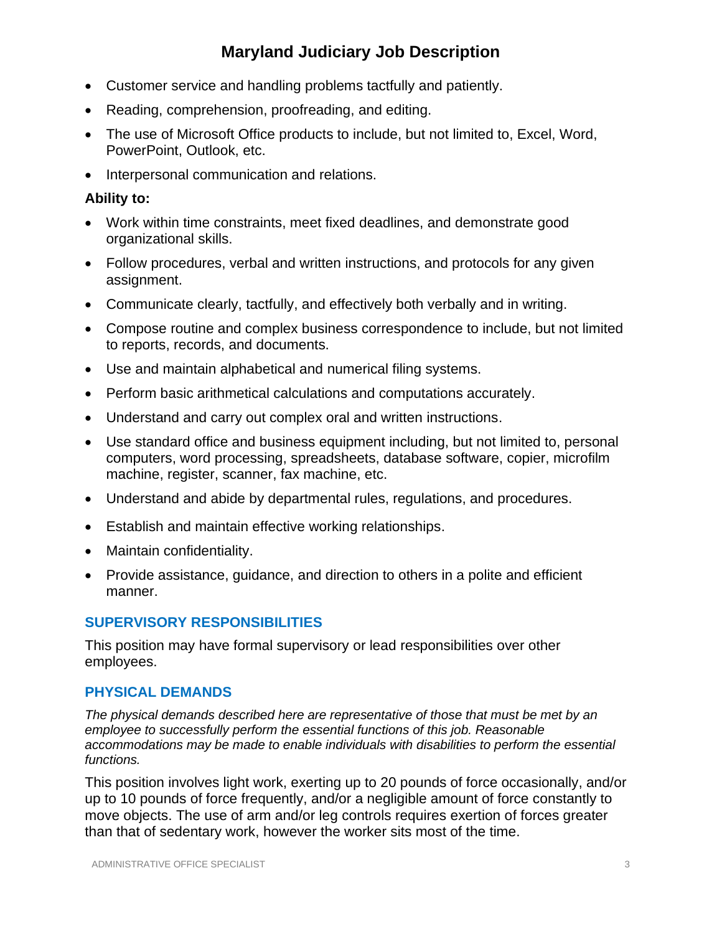- Customer service and handling problems tactfully and patiently.
- Reading, comprehension, proofreading, and editing.
- The use of Microsoft Office products to include, but not limited to, Excel, Word, PowerPoint, Outlook, etc.
- Interpersonal communication and relations.

#### **Ability to:**

- Work within time constraints, meet fixed deadlines, and demonstrate good organizational skills.
- Follow procedures, verbal and written instructions, and protocols for any given assignment.
- Communicate clearly, tactfully, and effectively both verbally and in writing.
- Compose routine and complex business correspondence to include, but not limited to reports, records, and documents.
- Use and maintain alphabetical and numerical filing systems.
- Perform basic arithmetical calculations and computations accurately.
- Understand and carry out complex oral and written instructions.
- Use standard office and business equipment including, but not limited to, personal computers, word processing, spreadsheets, database software, copier, microfilm machine, register, scanner, fax machine, etc.
- Understand and abide by departmental rules, regulations, and procedures.
- Establish and maintain effective working relationships.
- Maintain confidentiality.
- Provide assistance, guidance, and direction to others in a polite and efficient manner.

## **SUPERVISORY RESPONSIBILITIES**

This position may have formal supervisory or lead responsibilities over other employees.

#### **PHYSICAL DEMANDS**

*The physical demands described here are representative of those that must be met by an employee to successfully perform the essential functions of this job. Reasonable accommodations may be made to enable individuals with disabilities to perform the essential functions.*

This position involves light work, exerting up to 20 pounds of force occasionally, and/or up to 10 pounds of force frequently, and/or a negligible amount of force constantly to move objects. The use of arm and/or leg controls requires exertion of forces greater than that of sedentary work, however the worker sits most of the time.